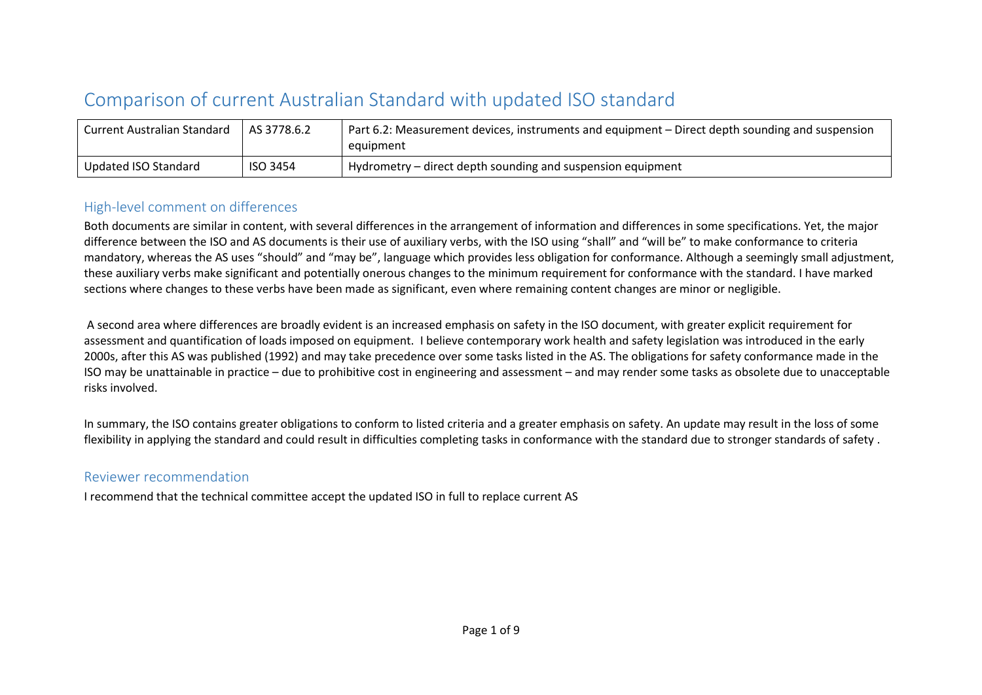## Comparison of current Australian Standard with updated ISO standard

| <b>Current Australian Standard</b> | AS 3778.6.2     | Part 6.2: Measurement devices, instruments and equipment – Direct depth sounding and suspension<br>equipment |
|------------------------------------|-----------------|--------------------------------------------------------------------------------------------------------------|
| Updated ISO Standard               | <b>ISO 3454</b> | Hydrometry – direct depth sounding and suspension equipment                                                  |

## High-level comment on differences

Both documents are similar in content, with several differences in the arrangement of information and differences in some specifications. Yet, the major difference between the ISO and AS documents is their use of auxiliary verbs, with the ISO using "shall" and "will be" to make conformance to criteria mandatory, whereas the AS uses "should" and "may be", language which provides less obligation for conformance. Although a seemingly small adjustment, these auxiliary verbs make significant and potentially onerous changes to the minimum requirement for conformance with the standard. I have marked sections where changes to these verbs have been made as significant, even where remaining content changes are minor or negligible.

A second area where differences are broadly evident is an increased emphasis on safety in the ISO document, with greater explicit requirement for assessment and quantification of loads imposed on equipment. I believe contemporary work health and safety legislation was introduced in the early 2000s, after this AS was published (1992) and may take precedence over some tasks listed in the AS. The obligations for safety conformance made in the ISO may be unattainable in practice – due to prohibitive cost in engineering and assessment – and may render some tasks as obsolete due to unacceptable risks involved.

In summary, the ISO contains greater obligations to conform to listed criteria and a greater emphasis on safety. An update may result in the loss of some flexibility in applying the standard and could result in difficulties completing tasks in conformance with the standard due to stronger standards of safety .

## Reviewer recommendation

I recommend that the technical committee accept the updated ISO in full to replace current AS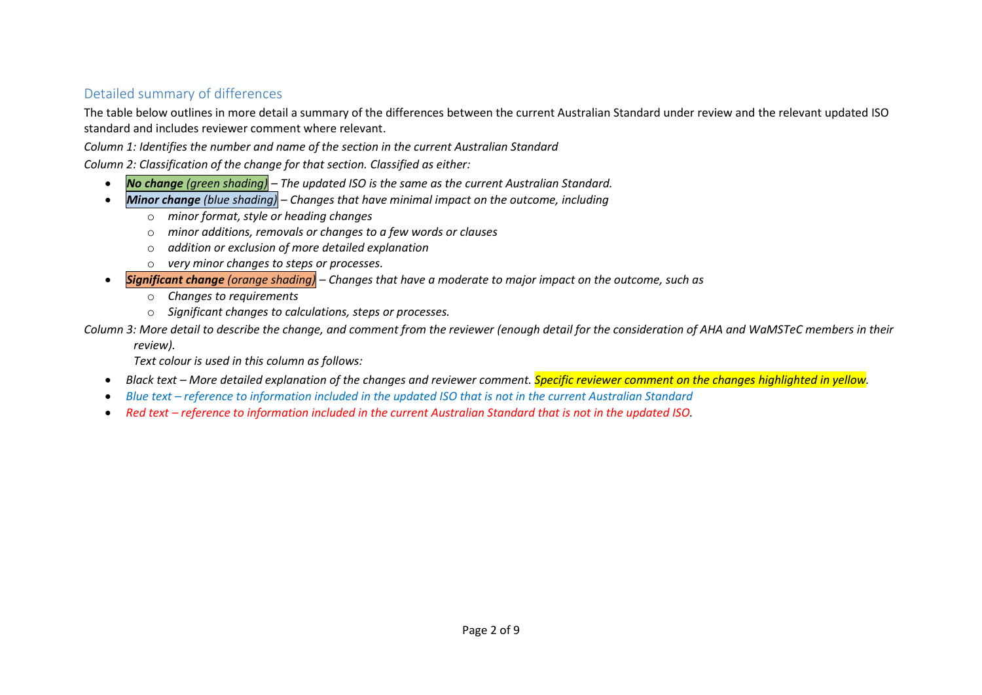## Detailed summary of differences

The table below outlines in more detail a summary of the differences between the current Australian Standard under review and the relevant updated ISO standard and includes reviewer comment where relevant.

*Column 1: Identifies the number and name of the section in the current Australian Standard*

*Column 2: Classification of the change for that section. Classified as either:*

- *No change (green shading) – The updated ISO is the same as the current Australian Standard.*
- *Minor change (blue shading) – Changes that have minimal impact on the outcome, including*
	- o *minor format, style or heading changes*
	- o *minor additions, removals or changes to a few words or clauses*
	- o *addition or exclusion of more detailed explanation*
	- o *very minor changes to steps or processes.*
- *Significant change (orange shading) – Changes that have a moderate to major impact on the outcome, such as*
	- o *Changes to requirements*
	- o *Significant changes to calculations, steps or processes.*

*Column 3: More detail to describe the change, and comment from the reviewer (enough detail for the consideration of AHA and WaMSTeC members in their* 

*review).*

*Text colour is used in this column as follows:*

- *Black text – More detailed explanation of the changes and reviewer comment. Specific reviewer comment on the changes highlighted in yellow.*
- *Blue text – reference to information included in the updated ISO that is not in the current Australian Standard*
- Red text *reference to information included in the current Australian Standard that is not in the updated ISO.*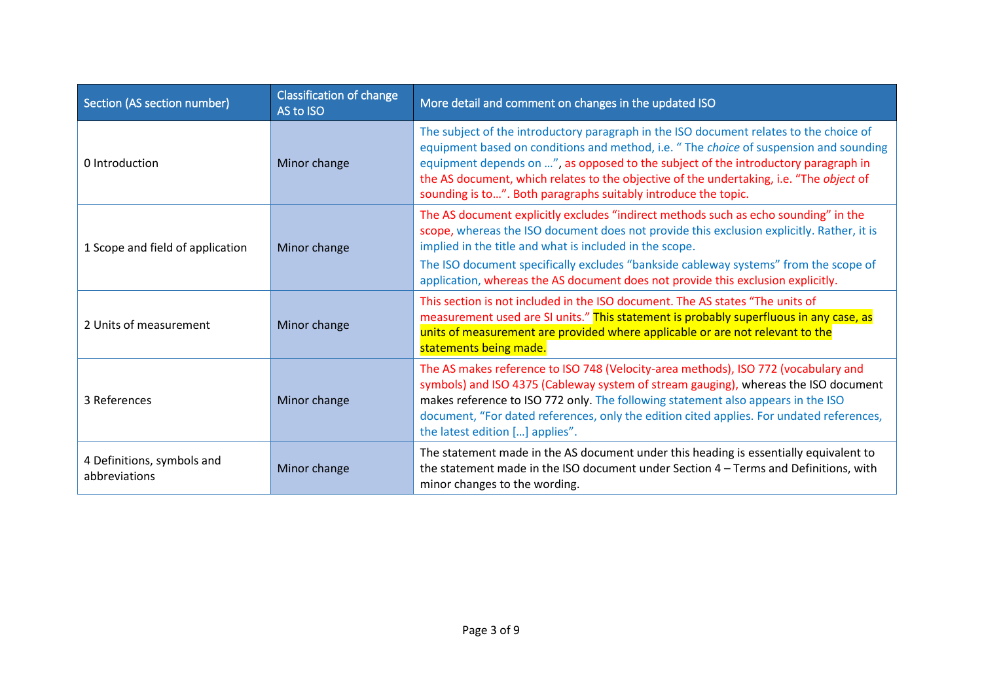| Section (AS section number)                 | <b>Classification of change</b><br>AS to ISO | More detail and comment on changes in the updated ISO                                                                                                                                                                                                                                                                                                                                                                               |
|---------------------------------------------|----------------------------------------------|-------------------------------------------------------------------------------------------------------------------------------------------------------------------------------------------------------------------------------------------------------------------------------------------------------------------------------------------------------------------------------------------------------------------------------------|
| 0 Introduction                              | Minor change                                 | The subject of the introductory paragraph in the ISO document relates to the choice of<br>equipment based on conditions and method, i.e. " The choice of suspension and sounding<br>equipment depends on ", as opposed to the subject of the introductory paragraph in<br>the AS document, which relates to the objective of the undertaking, i.e. "The object of<br>sounding is to". Both paragraphs suitably introduce the topic. |
| 1 Scope and field of application            | Minor change                                 | The AS document explicitly excludes "indirect methods such as echo sounding" in the<br>scope, whereas the ISO document does not provide this exclusion explicitly. Rather, it is<br>implied in the title and what is included in the scope.<br>The ISO document specifically excludes "bankside cableway systems" from the scope of<br>application, whereas the AS document does not provide this exclusion explicitly.             |
| 2 Units of measurement                      | Minor change                                 | This section is not included in the ISO document. The AS states "The units of<br>measurement used are SI units." This statement is probably superfluous in any case, as<br>units of measurement are provided where applicable or are not relevant to the<br>statements being made.                                                                                                                                                  |
| 3 References                                | Minor change                                 | The AS makes reference to ISO 748 (Velocity-area methods), ISO 772 (vocabulary and<br>symbols) and ISO 4375 (Cableway system of stream gauging), whereas the ISO document<br>makes reference to ISO 772 only. The following statement also appears in the ISO<br>document, "For dated references, only the edition cited applies. For undated references,<br>the latest edition [] applies".                                        |
| 4 Definitions, symbols and<br>abbreviations | Minor change                                 | The statement made in the AS document under this heading is essentially equivalent to<br>the statement made in the ISO document under Section 4 - Terms and Definitions, with<br>minor changes to the wording.                                                                                                                                                                                                                      |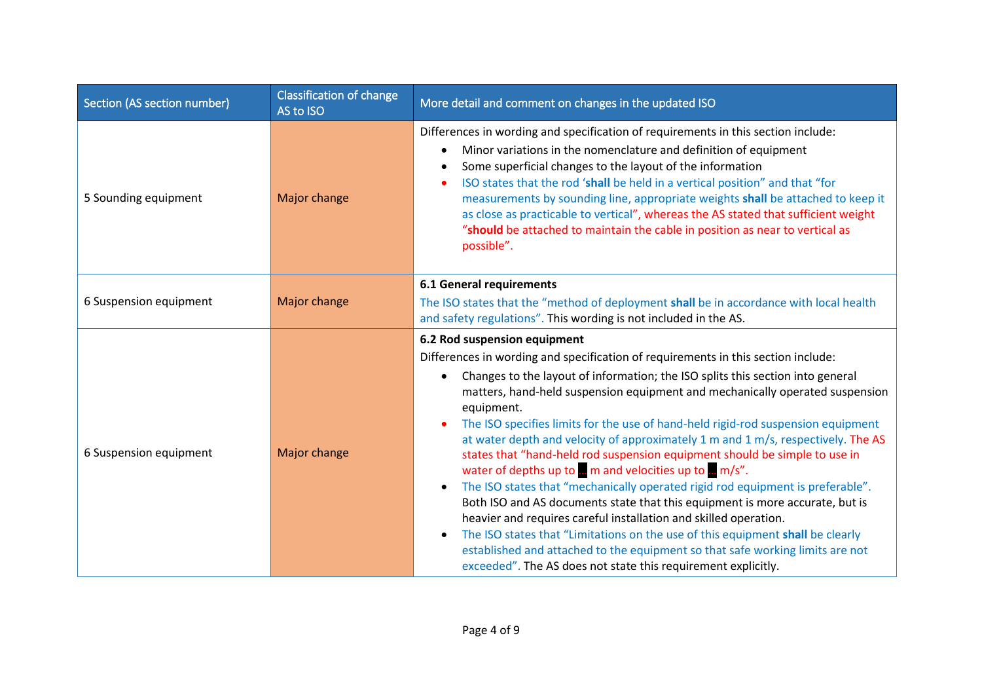| Section (AS section number) | <b>Classification of change</b><br>AS to ISO | More detail and comment on changes in the updated ISO                                                                                                                                                                                                                                                                                                                                                                                                                                                                                                                                                                                                                                                                                                                                                                                                                                                                                                                                                       |
|-----------------------------|----------------------------------------------|-------------------------------------------------------------------------------------------------------------------------------------------------------------------------------------------------------------------------------------------------------------------------------------------------------------------------------------------------------------------------------------------------------------------------------------------------------------------------------------------------------------------------------------------------------------------------------------------------------------------------------------------------------------------------------------------------------------------------------------------------------------------------------------------------------------------------------------------------------------------------------------------------------------------------------------------------------------------------------------------------------------|
| 5 Sounding equipment        | Major change                                 | Differences in wording and specification of requirements in this section include:<br>Minor variations in the nomenclature and definition of equipment<br>$\bullet$<br>Some superficial changes to the layout of the information<br>$\bullet$<br>ISO states that the rod 'shall be held in a vertical position" and that "for<br>measurements by sounding line, appropriate weights shall be attached to keep it<br>as close as practicable to vertical", whereas the AS stated that sufficient weight<br>"should be attached to maintain the cable in position as near to vertical as<br>possible".                                                                                                                                                                                                                                                                                                                                                                                                         |
|                             |                                              | <b>6.1 General requirements</b>                                                                                                                                                                                                                                                                                                                                                                                                                                                                                                                                                                                                                                                                                                                                                                                                                                                                                                                                                                             |
| 6 Suspension equipment      | Major change                                 | The ISO states that the "method of deployment shall be in accordance with local health<br>and safety regulations". This wording is not included in the AS.                                                                                                                                                                                                                                                                                                                                                                                                                                                                                                                                                                                                                                                                                                                                                                                                                                                  |
|                             |                                              | 6.2 Rod suspension equipment                                                                                                                                                                                                                                                                                                                                                                                                                                                                                                                                                                                                                                                                                                                                                                                                                                                                                                                                                                                |
|                             | Major change                                 | Differences in wording and specification of requirements in this section include:                                                                                                                                                                                                                                                                                                                                                                                                                                                                                                                                                                                                                                                                                                                                                                                                                                                                                                                           |
| 6 Suspension equipment      |                                              | Changes to the layout of information; the ISO splits this section into general<br>$\bullet$<br>matters, hand-held suspension equipment and mechanically operated suspension<br>equipment.<br>The ISO specifies limits for the use of hand-held rigid-rod suspension equipment<br>at water depth and velocity of approximately 1 m and 1 m/s, respectively. The AS<br>states that "hand-held rod suspension equipment should be simple to use in<br>water of depths up to  m and velocities up to  m/s".<br>The ISO states that "mechanically operated rigid rod equipment is preferable".<br>$\bullet$<br>Both ISO and AS documents state that this equipment is more accurate, but is<br>heavier and requires careful installation and skilled operation.<br>The ISO states that "Limitations on the use of this equipment shall be clearly<br>$\bullet$<br>established and attached to the equipment so that safe working limits are not<br>exceeded". The AS does not state this requirement explicitly. |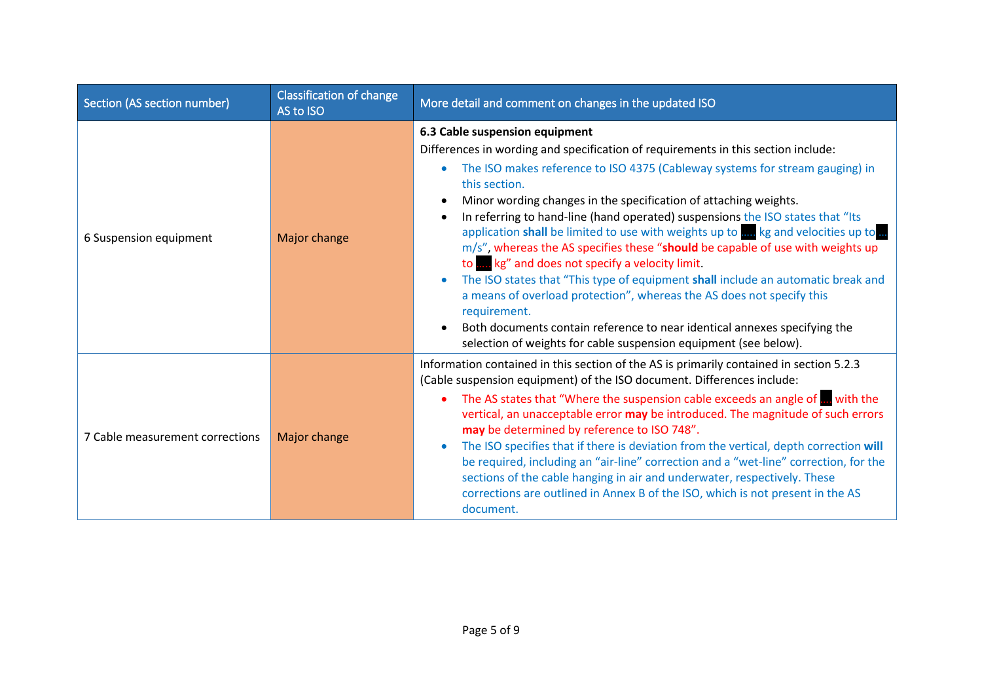| Section (AS section number)     | <b>Classification of change</b><br>AS to ISO | More detail and comment on changes in the updated ISO                                                                                                                                                                                                                                                                                                                                                                                                                                                                                                                                                                                                                                                                                                                                                                                                                                                                                                          |
|---------------------------------|----------------------------------------------|----------------------------------------------------------------------------------------------------------------------------------------------------------------------------------------------------------------------------------------------------------------------------------------------------------------------------------------------------------------------------------------------------------------------------------------------------------------------------------------------------------------------------------------------------------------------------------------------------------------------------------------------------------------------------------------------------------------------------------------------------------------------------------------------------------------------------------------------------------------------------------------------------------------------------------------------------------------|
| 6 Suspension equipment          | Major change                                 | 6.3 Cable suspension equipment<br>Differences in wording and specification of requirements in this section include:<br>The ISO makes reference to ISO 4375 (Cableway systems for stream gauging) in<br>$\bullet$<br>this section.<br>Minor wording changes in the specification of attaching weights.<br>In referring to hand-line (hand operated) suspensions the ISO states that "Its<br>$\bullet$<br>application shall be limited to use with weights up to me kg and velocities up to<br>m/s", whereas the AS specifies these "should be capable of use with weights up<br>to www.kg" and does not specify a velocity limit.<br>The ISO states that "This type of equipment shall include an automatic break and<br>a means of overload protection", whereas the AS does not specify this<br>requirement.<br>Both documents contain reference to near identical annexes specifying the<br>selection of weights for cable suspension equipment (see below). |
| 7 Cable measurement corrections | Major change                                 | Information contained in this section of the AS is primarily contained in section 5.2.3<br>(Cable suspension equipment) of the ISO document. Differences include:<br>The AS states that "Where the suspension cable exceeds an angle of , with the<br>vertical, an unacceptable error may be introduced. The magnitude of such errors<br>may be determined by reference to ISO 748".<br>The ISO specifies that if there is deviation from the vertical, depth correction will<br>be required, including an "air-line" correction and a "wet-line" correction, for the<br>sections of the cable hanging in air and underwater, respectively. These<br>corrections are outlined in Annex B of the ISO, which is not present in the AS<br>document.                                                                                                                                                                                                               |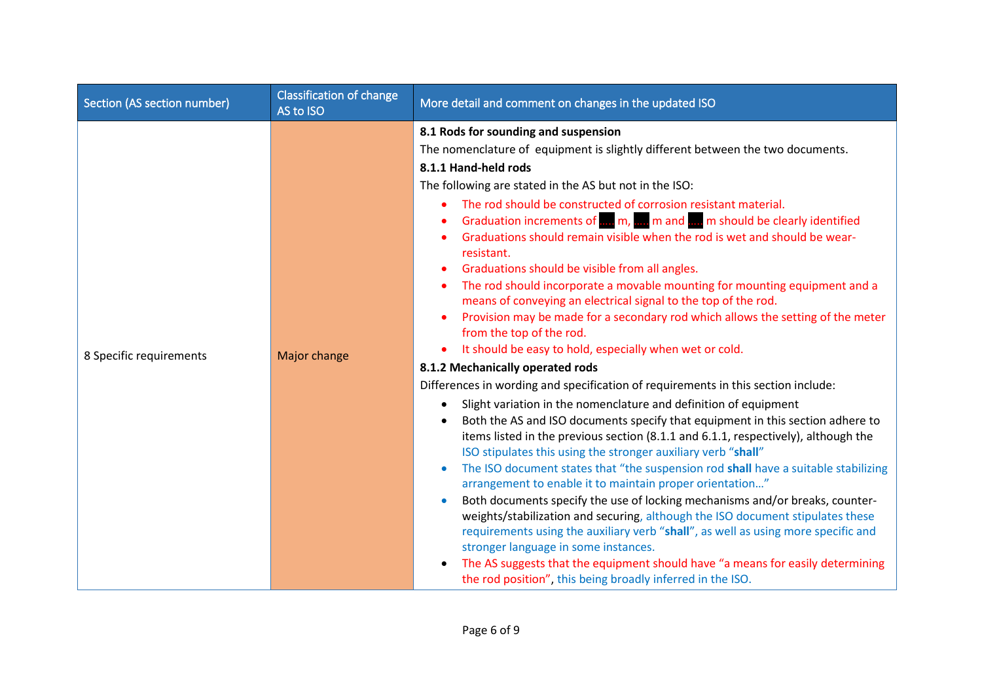| Section (AS section number) | <b>Classification of change</b><br>AS to ISO | More detail and comment on changes in the updated ISO                                                                                                                                                                                                                                                                                                                                                                                                                                                                                                                                                                                                                                                                                                                                                                                                                                                                                                                                                                                                                                                                                                                                                                                                                                                                                                                                                                                                                                                                                                                                                                                                                                                                                                                                                                                                                                     |
|-----------------------------|----------------------------------------------|-------------------------------------------------------------------------------------------------------------------------------------------------------------------------------------------------------------------------------------------------------------------------------------------------------------------------------------------------------------------------------------------------------------------------------------------------------------------------------------------------------------------------------------------------------------------------------------------------------------------------------------------------------------------------------------------------------------------------------------------------------------------------------------------------------------------------------------------------------------------------------------------------------------------------------------------------------------------------------------------------------------------------------------------------------------------------------------------------------------------------------------------------------------------------------------------------------------------------------------------------------------------------------------------------------------------------------------------------------------------------------------------------------------------------------------------------------------------------------------------------------------------------------------------------------------------------------------------------------------------------------------------------------------------------------------------------------------------------------------------------------------------------------------------------------------------------------------------------------------------------------------------|
| 8 Specific requirements     | Major change                                 | 8.1 Rods for sounding and suspension<br>The nomenclature of equipment is slightly different between the two documents.<br>8.1.1 Hand-held rods<br>The following are stated in the AS but not in the ISO:<br>The rod should be constructed of corrosion resistant material.<br>Graduation increments of  m,  m and  m should be clearly identified<br>Graduations should remain visible when the rod is wet and should be wear-<br>resistant.<br>Graduations should be visible from all angles.<br>The rod should incorporate a movable mounting for mounting equipment and a<br>means of conveying an electrical signal to the top of the rod.<br>Provision may be made for a secondary rod which allows the setting of the meter<br>from the top of the rod.<br>It should be easy to hold, especially when wet or cold.<br>8.1.2 Mechanically operated rods<br>Differences in wording and specification of requirements in this section include:<br>Slight variation in the nomenclature and definition of equipment<br>Both the AS and ISO documents specify that equipment in this section adhere to<br>items listed in the previous section (8.1.1 and 6.1.1, respectively), although the<br>ISO stipulates this using the stronger auxiliary verb "shall"<br>The ISO document states that "the suspension rod shall have a suitable stabilizing<br>$\bullet$<br>arrangement to enable it to maintain proper orientation"<br>Both documents specify the use of locking mechanisms and/or breaks, counter-<br>$\bullet$<br>weights/stabilization and securing, although the ISO document stipulates these<br>requirements using the auxiliary verb "shall", as well as using more specific and<br>stronger language in some instances.<br>The AS suggests that the equipment should have "a means for easily determining<br>the rod position", this being broadly inferred in the ISO. |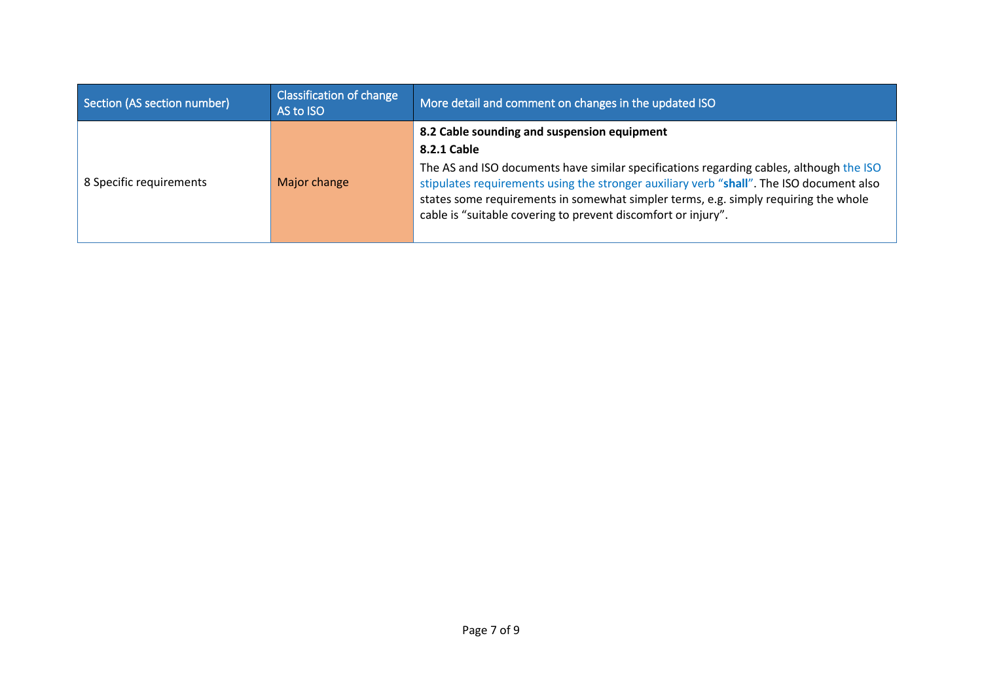| Section (AS section number) | Classification of change<br>AS to ISO | More detail and comment on changes in the updated ISO                                                                                                                                                                                                                                                                                       |
|-----------------------------|---------------------------------------|---------------------------------------------------------------------------------------------------------------------------------------------------------------------------------------------------------------------------------------------------------------------------------------------------------------------------------------------|
|                             |                                       | 8.2 Cable sounding and suspension equipment                                                                                                                                                                                                                                                                                                 |
|                             |                                       | 8.2.1 Cable                                                                                                                                                                                                                                                                                                                                 |
| 8 Specific requirements     | Major change                          | The AS and ISO documents have similar specifications regarding cables, although the ISO<br>stipulates requirements using the stronger auxiliary verb "shall". The ISO document also<br>states some requirements in somewhat simpler terms, e.g. simply requiring the whole<br>cable is "suitable covering to prevent discomfort or injury". |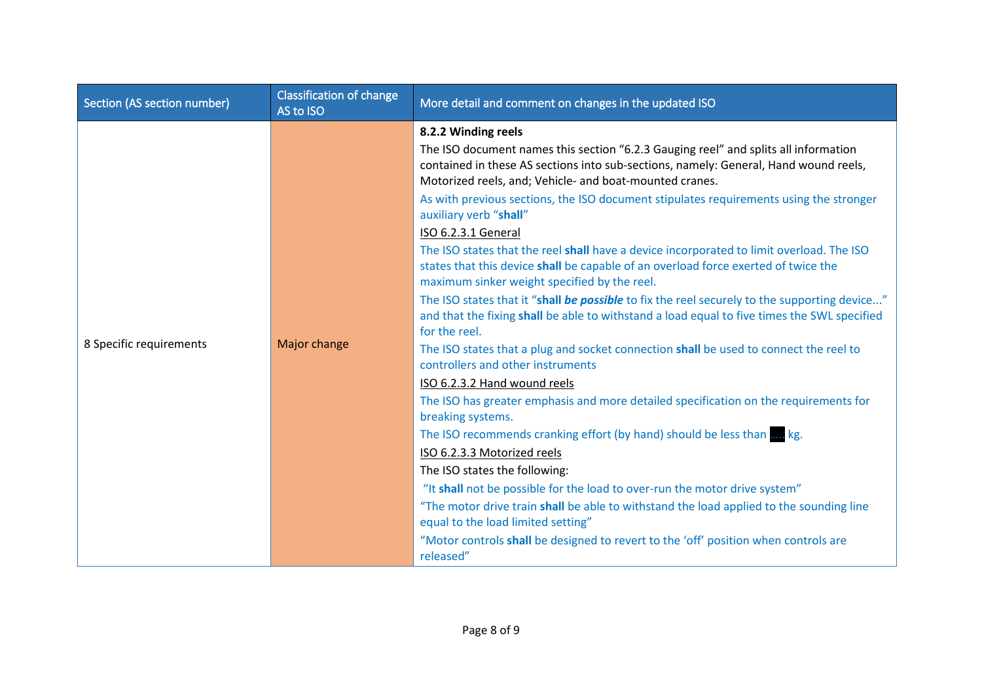| Section (AS section number) | <b>Classification of change</b><br>AS to ISO | More detail and comment on changes in the updated ISO                                                                                                                                                                                  |
|-----------------------------|----------------------------------------------|----------------------------------------------------------------------------------------------------------------------------------------------------------------------------------------------------------------------------------------|
|                             | Major change                                 | 8.2.2 Winding reels                                                                                                                                                                                                                    |
|                             |                                              | The ISO document names this section "6.2.3 Gauging reel" and splits all information<br>contained in these AS sections into sub-sections, namely: General, Hand wound reels,<br>Motorized reels, and; Vehicle- and boat-mounted cranes. |
|                             |                                              | As with previous sections, the ISO document stipulates requirements using the stronger<br>auxiliary verb "shall"                                                                                                                       |
|                             |                                              | ISO 6.2.3.1 General                                                                                                                                                                                                                    |
|                             |                                              | The ISO states that the reel shall have a device incorporated to limit overload. The ISO<br>states that this device shall be capable of an overload force exerted of twice the<br>maximum sinker weight specified by the reel.         |
|                             |                                              | The ISO states that it "shall be possible to fix the reel securely to the supporting device"<br>and that the fixing shall be able to withstand a load equal to five times the SWL specified<br>for the reel.                           |
| 8 Specific requirements     |                                              | The ISO states that a plug and socket connection shall be used to connect the reel to<br>controllers and other instruments                                                                                                             |
|                             |                                              | ISO 6.2.3.2 Hand wound reels                                                                                                                                                                                                           |
|                             |                                              | The ISO has greater emphasis and more detailed specification on the requirements for<br>breaking systems.                                                                                                                              |
|                             |                                              | The ISO recommends cranking effort (by hand) should be less than  kg.                                                                                                                                                                  |
|                             |                                              | ISO 6.2.3.3 Motorized reels                                                                                                                                                                                                            |
|                             |                                              | The ISO states the following:                                                                                                                                                                                                          |
|                             |                                              | "It shall not be possible for the load to over-run the motor drive system"                                                                                                                                                             |
|                             |                                              | "The motor drive train shall be able to withstand the load applied to the sounding line<br>equal to the load limited setting"                                                                                                          |
|                             |                                              | "Motor controls shall be designed to revert to the 'off' position when controls are<br>released"                                                                                                                                       |